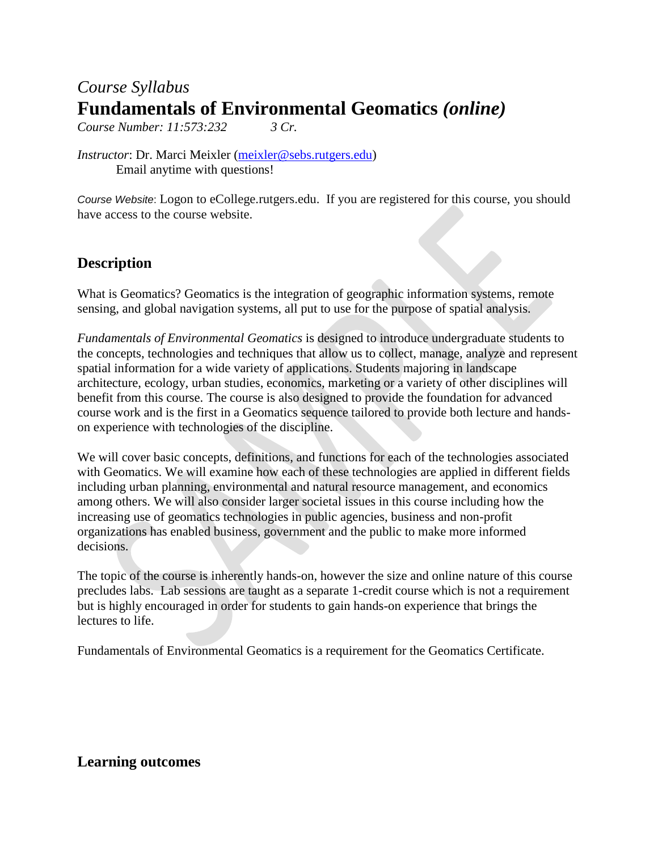# *Course Syllabus* **Fundamentals of Environmental Geomatics** *(online)*

*Course Number: 11:573:232 3 Cr.*

*Instructor*: Dr. Marci Meixler [\(meixler@sebs.rutgers.edu\)](mailto:meixler@sebs.rutgers.edu) Email anytime with questions!

*Course Website*: Logon to eCollege.rutgers.edu. If you are registered for this course, you should have access to the course website.

## **Description**

What is Geomatics? Geomatics is the integration of geographic information systems, remote sensing, and global navigation systems, all put to use for the purpose of spatial analysis.

*Fundamentals of Environmental Geomatics* is designed to introduce undergraduate students to the concepts, technologies and techniques that allow us to collect, manage, analyze and represent spatial information for a wide variety of applications. Students majoring in landscape architecture, ecology, urban studies, economics, marketing or a variety of other disciplines will benefit from this course. The course is also designed to provide the foundation for advanced course work and is the first in a Geomatics sequence tailored to provide both lecture and handson experience with technologies of the discipline.

We will cover basic concepts, definitions, and functions for each of the technologies associated with Geomatics. We will examine how each of these technologies are applied in different fields including urban planning, environmental and natural resource management, and economics among others. We will also consider larger societal issues in this course including how the increasing use of geomatics technologies in public agencies, business and non-profit organizations has enabled business, government and the public to make more informed decisions.

The topic of the course is inherently hands-on, however the size and online nature of this course precludes labs. Lab sessions are taught as a separate 1-credit course which is not a requirement but is highly encouraged in order for students to gain hands-on experience that brings the lectures to life.

Fundamentals of Environmental Geomatics is a requirement for the Geomatics Certificate.

### **Learning outcomes**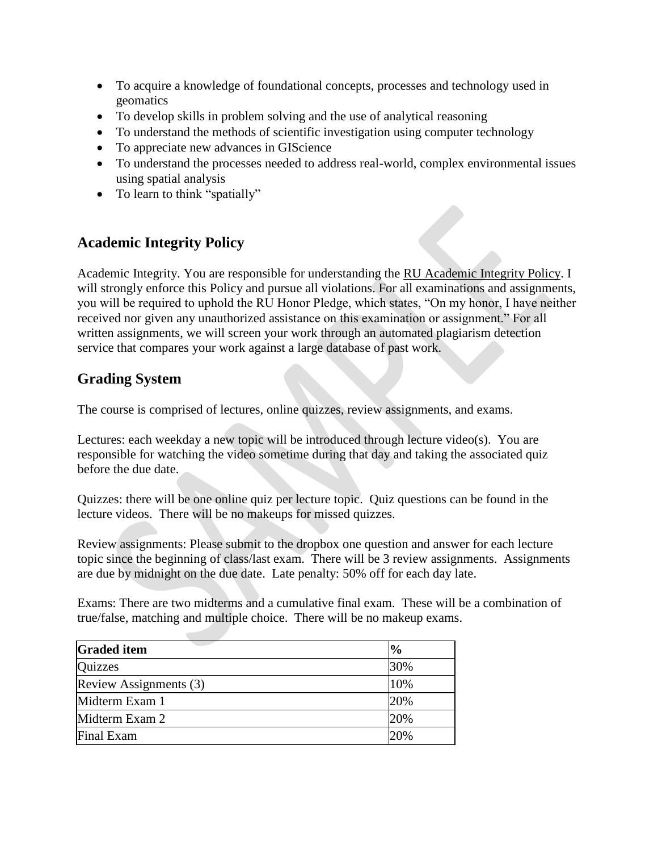- To acquire a knowledge of foundational concepts, processes and technology used in geomatics
- To develop skills in problem solving and the use of analytical reasoning
- To understand the methods of scientific investigation using computer technology
- To appreciate new advances in GIScience
- To understand the processes needed to address real-world, complex environmental issues using spatial analysis
- To learn to think "spatially"

# **Academic Integrity Policy**

Academic Integrity. You are responsible for understanding the [RU Academic Integrity Policy.](https://slwordpress.rutgers.edu/academicintegrity/wp-content/uploads/sites/41/2014/11/AI_Policy_2013.pdf) I will strongly enforce this Policy and pursue all violations. For all examinations and assignments, you will be required to uphold the RU Honor Pledge, which states, "On my honor, I have neither received nor given any unauthorized assistance on this examination or assignment." For all written assignments, we will screen your work through an automated plagiarism detection service that compares your work against a large database of past work.

### **Grading System**

The course is comprised of lectures, online quizzes, review assignments, and exams.

Lectures: each weekday a new topic will be introduced through lecture video(s). You are responsible for watching the video sometime during that day and taking the associated quiz before the due date.

Quizzes: there will be one online quiz per lecture topic. Quiz questions can be found in the lecture videos. There will be no makeups for missed quizzes.

Review assignments: Please submit to the dropbox one question and answer for each lecture topic since the beginning of class/last exam. There will be 3 review assignments. Assignments are due by midnight on the due date. Late penalty: 50% off for each day late.

Exams: There are two midterms and a cumulative final exam. These will be a combination of true/false, matching and multiple choice. There will be no makeup exams.

| <b>Graded item</b>     | $\frac{10}{6}$ |
|------------------------|----------------|
| Quizzes                | 30%            |
| Review Assignments (3) | 10%            |
| Midterm Exam 1         | 20%            |
| Midterm Exam 2         | 20%            |
| Final Exam             | 20%            |